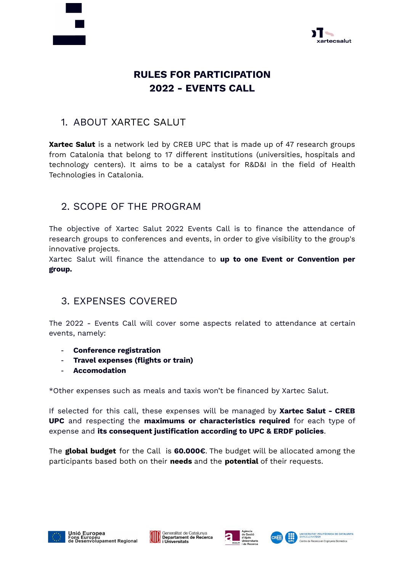



# **RULES FOR PARTICIPATION 2022 - EVENTS CALL**

## 1. ABOUT XARTEC SALUT

**Xartec Salut** is a network led by CREB UPC that is made up of 47 research groups from Catalonia that belong to 17 different institutions (universities, hospitals and technology centers). It aims to be a catalyst for R&D&I in the field of Health Technologies in Catalonia.

## 2. SCOPE OF THE PROGRAM

The objective of Xartec Salut 2022 Events Call is to finance the attendance of research groups to conferences and events, in order to give visibility to the group's innovative projects.

Xartec Salut will finance the attendance to **up to one Event or Convention per group.**

## 3. EXPENSES COVERED

The 2022 - Events Call will cover some aspects related to attendance at certain events, namely:

- **Conference registration**
- **Travel expenses (flights or train)**
- **Accomodation**

\*Other expenses such as meals and taxis won't be financed by Xartec Salut.

If selected for this call, these expenses will be managed by **Xartec Salut - CREB UPC** and respecting the **maximums or characteristics required** for each type of expense and **its consequent justification according to UPC & ERDF policies**.

The **global budget** for the Call is **60.000€**. The budget will be allocated among the participants based both on their **needs** and the **potential** of their requests.